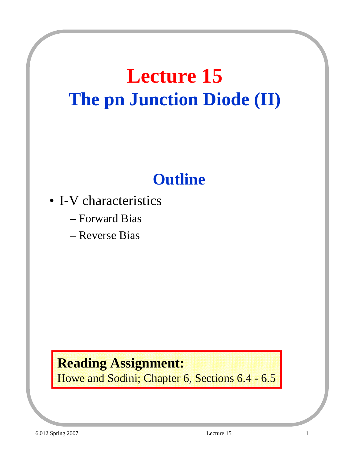## **Lecture 15 The pn Junction Diode (II)**

### **Outline**

- I-V characteristics
	- Forward Bias
	- Reverse Bias

#### **Reading Assignment:**

Howe and Sodini; Chapter 6, Sections 6.4 - 6.5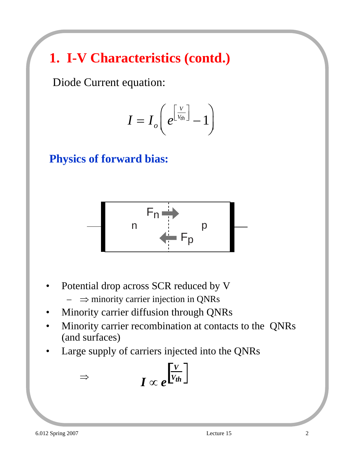### **1. I-V Characteristics (contd.)**

Diode Current equation:

$$
I=I_o\bigg(e^{\left[\frac{V}{V_{th}}\right]}-1\bigg)
$$

**Physics of forward bias:**



- Potential drop across SCR reduced by V  $- \Rightarrow$  minority carrier injection in QNRs
- Minority carrier diffusion through QNRs
- Minority carrier recombination at contacts to the QNRs (and surfaces)
- Large supply of carriers injected into the QNRs

$$
I \propto e^{\frac{V}{V_{th}}}
$$

⇒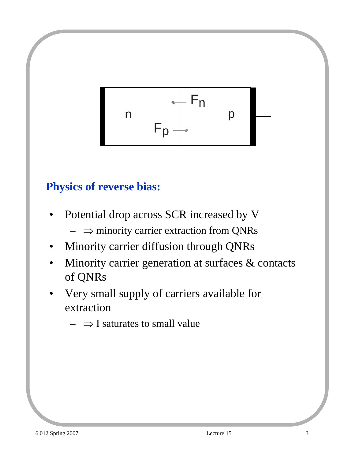

#### **Physics of reverse bias:**

- Potential drop across SCR increased by V
	- $\Rightarrow$  minority carrier extraction from QNRs
- Minority carrier diffusion through QNRs
- Minority carrier generation at surfaces  $\&$  contacts of QNRs
- Very small supply of carriers available for extraction
	- $\rightarrow$   $\rightarrow$  I saturates to small value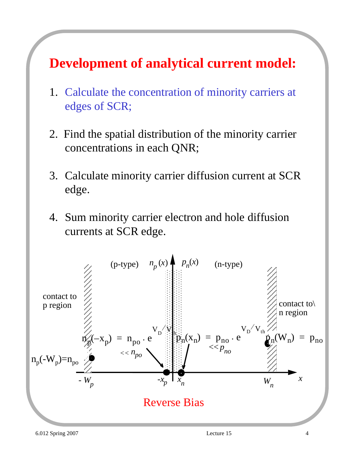#### **Development of analytical current model:**

- 1. Calculate the concentration of minority carriers at edges of SCR;
- 2. Find the spatial distribution of the minority carrier concentrations in each QNR;
- 3. Calculate minority carrier diffusion current at SCR edge.
- 4. Sum minority carrier electron and hole diffusion currents at SCR edge.

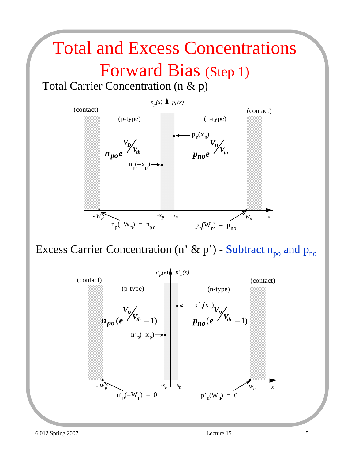### Total and Excess Concentrations

### Forward Bias (Step 1)

Total Carrier Concentration (n & p)



Excess Carrier Concentration (n' & p') - Subtract  $n_{po}$  and  $p_{no}$ 

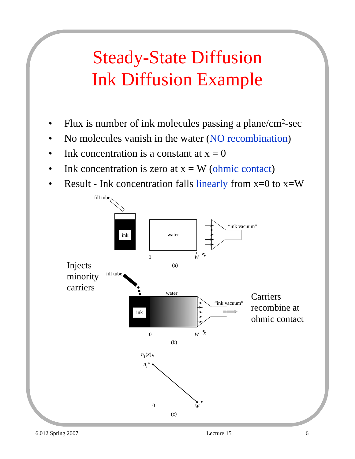### Steady-State Diffusion Ink Diffusion Example

- Flux is number of ink molecules passing a plane/cm<sup>2</sup>-sec
- No molecules vanish in the water (NO recombination)
- Ink concentration is a constant at  $x = 0$
- Ink concentration is zero at  $x = W$  (ohmic contact)
- Result Ink concentration falls linearly from  $x=0$  to  $x=W$

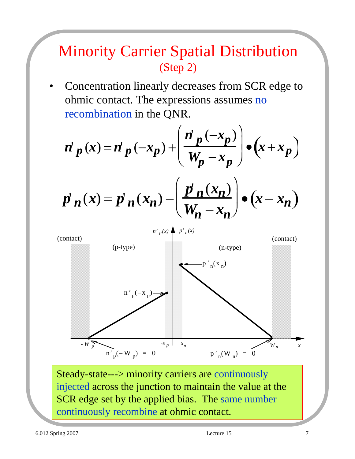#### Minority Carrier Spatial Distribution (Step 2)

• Concentration linearly decreases from SCR edge to ohmic contact. The expressions assumes no recombination in the QNR.

$$
n' p(x) = n' p(-x_p) + \left(\frac{n' p(-x_p)}{W_p - x_p}\right) \bullet \left(x + x_p\right)
$$

$$
p'_{n}(x) = p'_{n}(x_{n}) - \left(\frac{p'_{n}(x_{n})}{W_{n}-x_{n}}\right) \bullet (x-x_{n})
$$



Steady-state---> minority carriers are continuously injected across the junction to maintain the value at the SCR edge set by the applied bias. The same number continuously recombine at ohmic contact.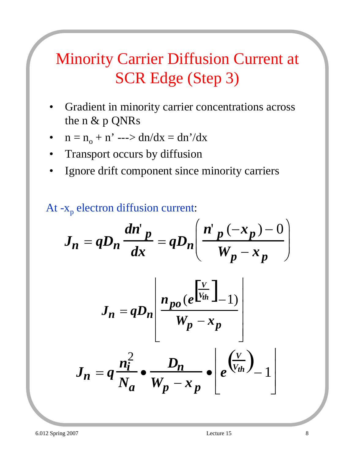### Minority Carrier Diffusion Current at SCR Edge (Step 3)

- Gradient in minority carrier concentrations across the n & p QNRs
- $n = n_0 + n' \longrightarrow dn/dx = dn'/dx$
- Transport occurs by diffusion
- Ignore drift component since minority carriers

#### At  $-x_p$  electron diffusion current:

$$
J_n = qD_n \frac{dn'p}{dx} = qD_n \left( \frac{n'p(-x_p) - 0}{W_p - x_p} \right)
$$

$$
J_n = qD_n \frac{n_{po} (e^{\frac{V}{V_{th}}}-1)}{W_p - x_p}
$$

$$
J_n = q \frac{n_i^2}{N_a} \cdot \frac{D_n}{W_p - x_p} \cdot \left[ e^{\left(\frac{V}{V_{th}}\right)} - 1 \right]
$$

 $\lfloor$ 

⎦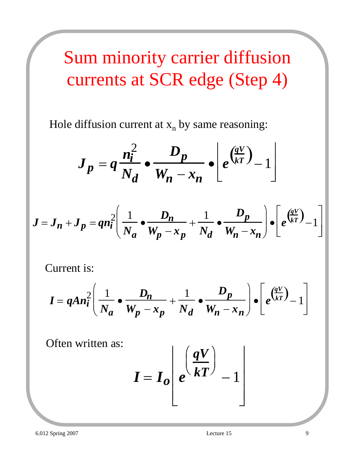## Sum minority carrier diffusion currents at SCR edge (Step 4)

Hole diffusion current at  $x_n$  by same reasoning:

$$
J_p = q \frac{n_i^2}{N_d} \cdot \frac{D_p}{W_n - x_n} \cdot \left[ e^{\left(\frac{qV}{kT}\right)} - 1 \right]
$$

$$
J = J_n + J_p = q n_i^2 \left( \frac{1}{N_a} \cdot \frac{D_n}{W_p - x_p} + \frac{1}{N_d} \cdot \frac{D_p}{W_n - x_n} \right) \cdot \left[ e^{\frac{qV}{kT}} - 1 \right]
$$

Current is:

$$
I = qAn_i^2 \left( \frac{1}{N_a} \bullet \frac{D_n}{W_p - x_p} + \frac{1}{N_d} \bullet \frac{D_p}{W_n - x_n} \right) \bullet \left[ e^{\left( \frac{qV}{kT} \right)} - 1 \right]
$$

Often written as:

$$
I = I_o \left[ e^{\left( \frac{qV}{kT} \right)} - 1 \right]
$$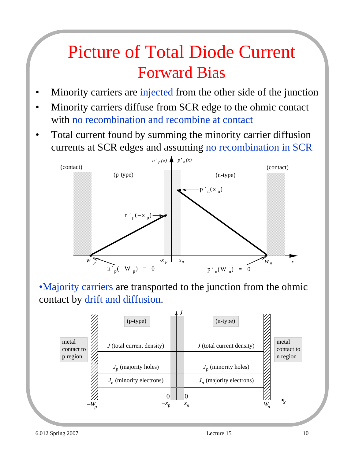### Picture of Total Diode Current Forward Bias

- Minority carriers are injected from the other side of the junction
- Minority carriers diffuse from SCR edge to the ohmic contact with no recombination and recombine at contact
- Total current found by summing the minority carrier diffusion currents at SCR edges and assuming no recombination in SCR



•Majority carriers are transported to the junction from the ohmic contact by drift and diffusion.

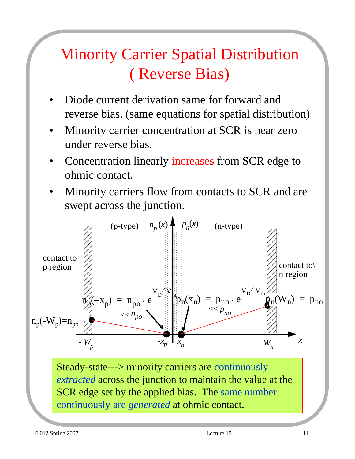### Minority Carrier Spatial Distribution ( Reverse Bias)

- Diode current derivation same for forward and reverse bias. (same equations for spatial distribution)
- Minority carrier concentration at SCR is near zero under reverse bias.
- Concentration linearly increases from SCR edge to ohmic contact.
- Minority carriers flow from contacts to SCR and are swept across the junction.

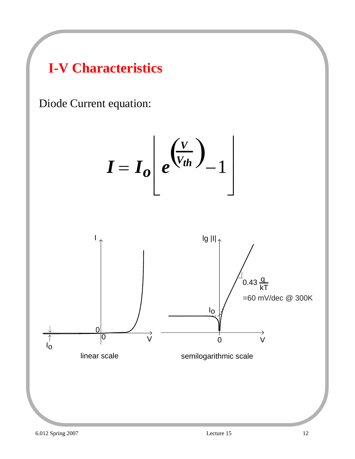#### **I-V Characteristics**

Diode Current equation:

$$
I = I_o \left[ e^{\left( \frac{V}{V_{th}} \right)} - 1 \right]
$$